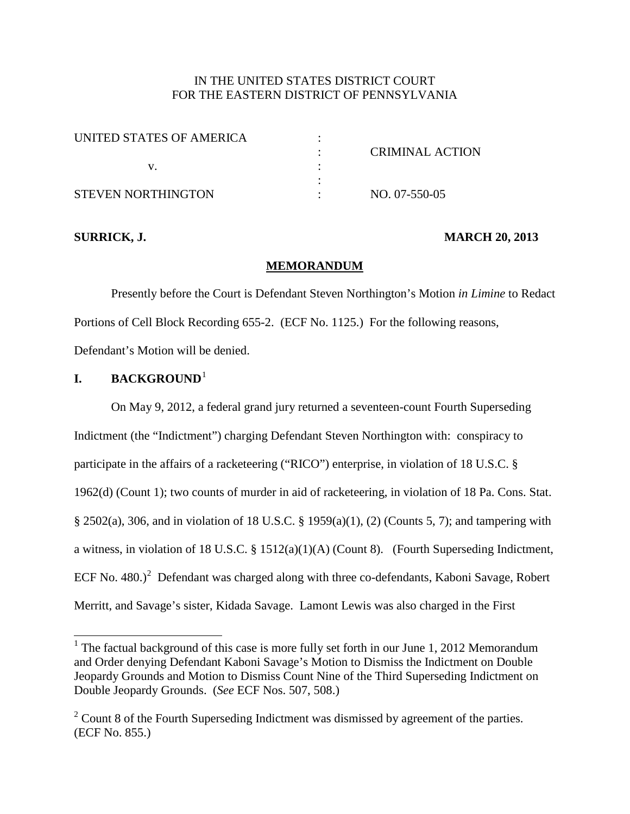# IN THE UNITED STATES DISTRICT COURT FOR THE EASTERN DISTRICT OF PENNSYLVANIA

| UNITED STATES OF AMERICA |                 |
|--------------------------|-----------------|
|                          | CRIMINAL ACTION |
|                          |                 |
|                          |                 |
| STEVEN NORTHINGTON       | NO. 07-550-05   |

#### **SURRICK, J. MARCH 20, 2013**

#### **MEMORANDUM**

Presently before the Court is Defendant Steven Northington's Motion *in Limine* to Redact Portions of Cell Block Recording 655-2. (ECF No. 1125.) For the following reasons, Defendant's Motion will be denied.

#### **I. BACKGROUND**[1](#page-6-0)

On May 9, 2012, a federal grand jury returned a seventeen-count Fourth Superseding Indictment (the "Indictment") charging Defendant Steven Northington with: conspiracy to participate in the affairs of a racketeering ("RICO") enterprise, in violation of 18 U.S.C. § 1962(d) (Count 1); two counts of murder in aid of racketeering, in violation of 18 Pa. Cons. Stat. § 2502(a), 306, and in violation of 18 U.S.C. § 1959(a)(1), (2) (Counts 5, 7); and tampering with a witness, in violation of 18 U.S.C. § 1512(a)(1)(A) (Count 8). (Fourth Superseding Indictment, ECF No. 480.)<sup>[2](#page-0-0)</sup> Defendant was charged along with three co-defendants, Kaboni Savage, Robert Merritt, and Savage's sister, Kidada Savage. Lamont Lewis was also charged in the First

<span id="page-0-1"></span> $1$  The factual background of this case is more fully set forth in our June 1, 2012 Memorandum and Order denying Defendant Kaboni Savage's Motion to Dismiss the Indictment on Double Jeopardy Grounds and Motion to Dismiss Count Nine of the Third Superseding Indictment on Double Jeopardy Grounds. (*See* ECF Nos. 507, 508.)

<span id="page-0-0"></span> $2^2$  Count 8 of the Fourth Superseding Indictment was dismissed by agreement of the parties. (ECF No. 855.)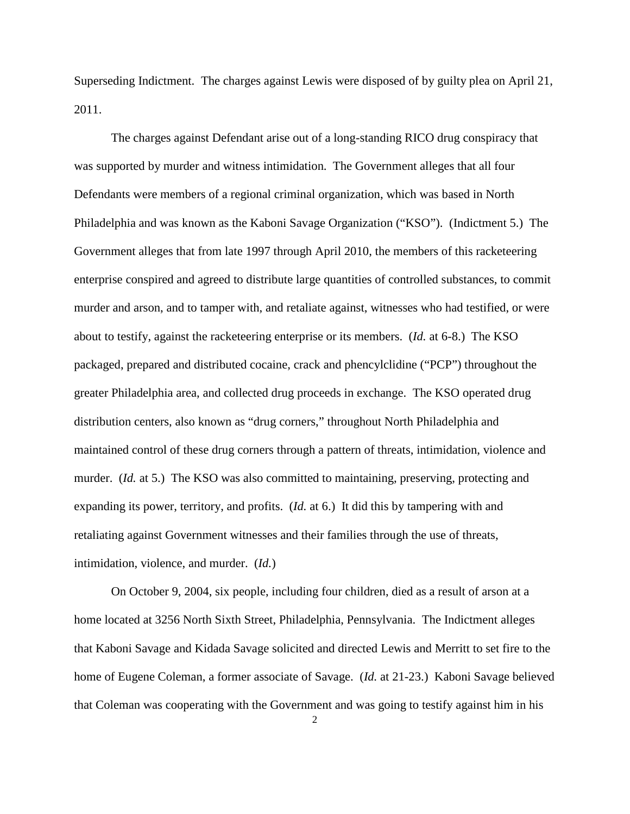Superseding Indictment. The charges against Lewis were disposed of by guilty plea on April 21, 2011.

The charges against Defendant arise out of a long-standing RICO drug conspiracy that was supported by murder and witness intimidation. The Government alleges that all four Defendants were members of a regional criminal organization, which was based in North Philadelphia and was known as the Kaboni Savage Organization ("KSO"). (Indictment 5.) The Government alleges that from late 1997 through April 2010, the members of this racketeering enterprise conspired and agreed to distribute large quantities of controlled substances, to commit murder and arson, and to tamper with, and retaliate against, witnesses who had testified, or were about to testify, against the racketeering enterprise or its members. (*Id.* at 6-8.) The KSO packaged, prepared and distributed cocaine, crack and phencylclidine ("PCP") throughout the greater Philadelphia area, and collected drug proceeds in exchange. The KSO operated drug distribution centers, also known as "drug corners," throughout North Philadelphia and maintained control of these drug corners through a pattern of threats, intimidation, violence and murder. *(Id.* at 5.) The KSO was also committed to maintaining, preserving, protecting and expanding its power, territory, and profits. (*Id.* at 6.) It did this by tampering with and retaliating against Government witnesses and their families through the use of threats, intimidation, violence, and murder. (*Id.*)

On October 9, 2004, six people, including four children, died as a result of arson at a home located at 3256 North Sixth Street, Philadelphia, Pennsylvania. The Indictment alleges that Kaboni Savage and Kidada Savage solicited and directed Lewis and Merritt to set fire to the home of Eugene Coleman, a former associate of Savage. (*Id.* at 21-23.) Kaboni Savage believed that Coleman was cooperating with the Government and was going to testify against him in his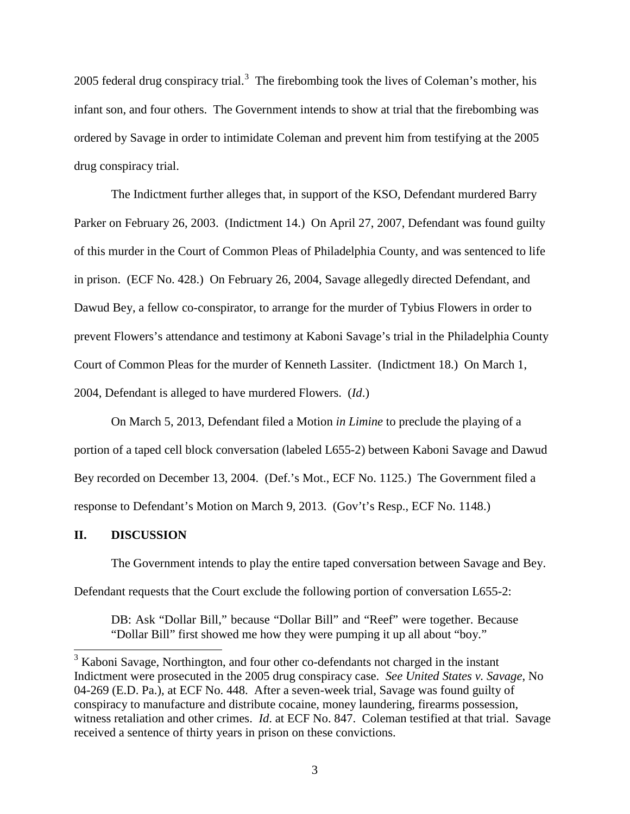2005 federal drug conspiracy trial.<sup>[3](#page-0-1)</sup> The firebombing took the lives of Coleman's mother, his infant son, and four others. The Government intends to show at trial that the firebombing was ordered by Savage in order to intimidate Coleman and prevent him from testifying at the 2005 drug conspiracy trial.

The Indictment further alleges that, in support of the KSO, Defendant murdered Barry Parker on February 26, 2003. (Indictment 14.) On April 27, 2007, Defendant was found guilty of this murder in the Court of Common Pleas of Philadelphia County, and was sentenced to life in prison. (ECF No. 428.) On February 26, 2004, Savage allegedly directed Defendant, and Dawud Bey, a fellow co-conspirator, to arrange for the murder of Tybius Flowers in order to prevent Flowers's attendance and testimony at Kaboni Savage's trial in the Philadelphia County Court of Common Pleas for the murder of Kenneth Lassiter. (Indictment 18.) On March 1, 2004, Defendant is alleged to have murdered Flowers. (*Id*.)

On March 5, 2013, Defendant filed a Motion *in Limine* to preclude the playing of a portion of a taped cell block conversation (labeled L655-2) between Kaboni Savage and Dawud Bey recorded on December 13, 2004. (Def.'s Mot., ECF No. 1125.) The Government filed a response to Defendant's Motion on March 9, 2013. (Gov't's Resp., ECF No. 1148.)

#### **II. DISCUSSION**

The Government intends to play the entire taped conversation between Savage and Bey. Defendant requests that the Court exclude the following portion of conversation L655-2:

DB: Ask "Dollar Bill," because "Dollar Bill" and "Reef" were together. Because "Dollar Bill" first showed me how they were pumping it up all about "boy."

<span id="page-2-0"></span><sup>&</sup>lt;sup>3</sup> Kaboni Savage, Northington, and four other co-defendants not charged in the instant Indictment were prosecuted in the 2005 drug conspiracy case. *See United States v. Savage*, No 04-269 (E.D. Pa.), at ECF No. 448. After a seven-week trial, Savage was found guilty of conspiracy to manufacture and distribute cocaine, money laundering, firearms possession, witness retaliation and other crimes. *Id*. at ECF No. 847. Coleman testified at that trial. Savage received a sentence of thirty years in prison on these convictions.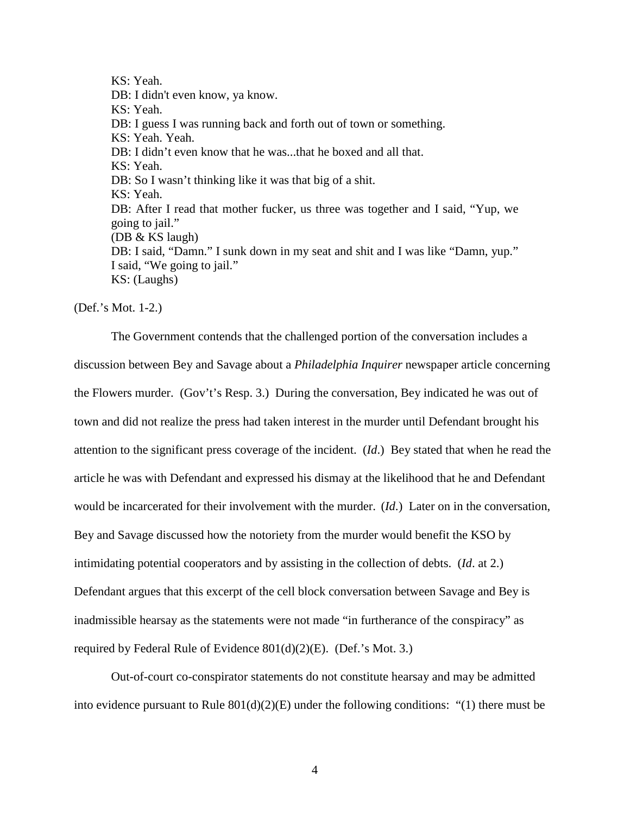KS: Yeah. DB: I didn't even know, ya know. KS: Yeah. DB: I guess I was running back and forth out of town or something. KS: Yeah. Yeah. DB: I didn't even know that he was...that he boxed and all that. KS: Yeah. DB: So I wasn't thinking like it was that big of a shit. KS: Yeah. DB: After I read that mother fucker, us three was together and I said, "Yup, we going to jail." (DB & KS laugh) DB: I said, "Damn." I sunk down in my seat and shit and I was like "Damn, yup." I said, "We going to jail." KS: (Laughs)

(Def.'s Mot. 1-2.)

The Government contends that the challenged portion of the conversation includes a discussion between Bey and Savage about a *Philadelphia Inquirer* newspaper article concerning the Flowers murder. (Gov't's Resp. 3.) During the conversation, Bey indicated he was out of town and did not realize the press had taken interest in the murder until Defendant brought his attention to the significant press coverage of the incident. (*Id*.) Bey stated that when he read the article he was with Defendant and expressed his dismay at the likelihood that he and Defendant would be incarcerated for their involvement with the murder. (*Id*.) Later on in the conversation, Bey and Savage discussed how the notoriety from the murder would benefit the KSO by intimidating potential cooperators and by assisting in the collection of debts. (*Id*. at 2.) Defendant argues that this excerpt of the cell block conversation between Savage and Bey is inadmissible hearsay as the statements were not made "in furtherance of the conspiracy" as required by Federal Rule of Evidence 801(d)(2)(E). (Def.'s Mot. 3.)

Out-of-court co-conspirator statements do not constitute hearsay and may be admitted into evidence pursuant to Rule  $801(d)(2)(E)$  under the following conditions: "(1) there must be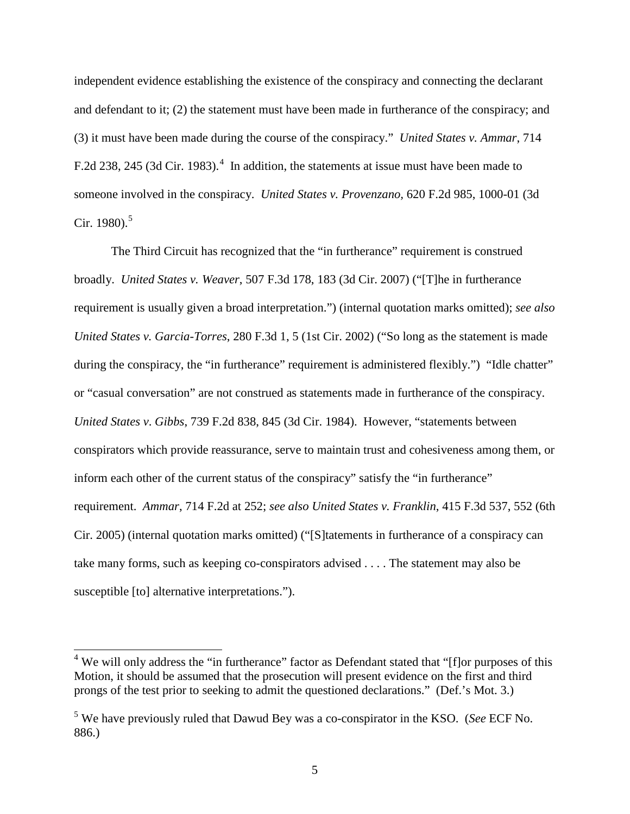independent evidence establishing the existence of the conspiracy and connecting the declarant and defendant to it; (2) the statement must have been made in furtherance of the conspiracy; and (3) it must have been made during the course of the conspiracy." *United States v. Ammar*, 714 F.2d 238, 2[4](#page-2-0)5 (3d Cir. 1983).<sup>4</sup> In addition, the statements at issue must have been made to someone involved in the conspiracy. *United States v. Provenzano,* 620 F.2d 985, 1000-01 (3d Cir. 1980). $5$ 

The Third Circuit has recognized that the "in furtherance" requirement is construed broadly. *United States v. Weaver*, 507 F.3d 178, 183 (3d Cir. 2007) ("[T]he in furtherance requirement is usually given a broad interpretation.") (internal quotation marks omitted); *see also United States v. Garcia-Torres*, 280 F.3d 1, 5 (1st Cir. 2002) ("So long as the statement is made during the conspiracy, the "in furtherance" requirement is administered flexibly.") "Idle chatter" or "casual conversation" are not construed as statements made in furtherance of the conspiracy. *United States v*. *Gibbs*, 739 F.2d 838, 845 (3d Cir. 1984). However, "statements between conspirators which provide reassurance, serve to maintain trust and cohesiveness among them, or inform each other of the current status of the conspiracy" satisfy the "in furtherance" requirement. *Ammar*, 714 F.2d at 252; *see also United States v. Franklin*, 415 F.3d 537, 552 (6th Cir. 2005) (internal quotation marks omitted) ("[S]tatements in furtherance of a conspiracy can take many forms, such as keeping co-conspirators advised . . . . The statement may also be susceptible [to] alternative interpretations.").

<span id="page-4-1"></span><sup>&</sup>lt;sup>4</sup> We will only address the "in furtherance" factor as Defendant stated that "[f]or purposes of this Motion, it should be assumed that the prosecution will present evidence on the first and third prongs of the test prior to seeking to admit the questioned declarations." (Def.'s Mot. 3.)

<span id="page-4-0"></span><sup>5</sup> We have previously ruled that Dawud Bey was a co-conspirator in the KSO. (*See* ECF No. 886.)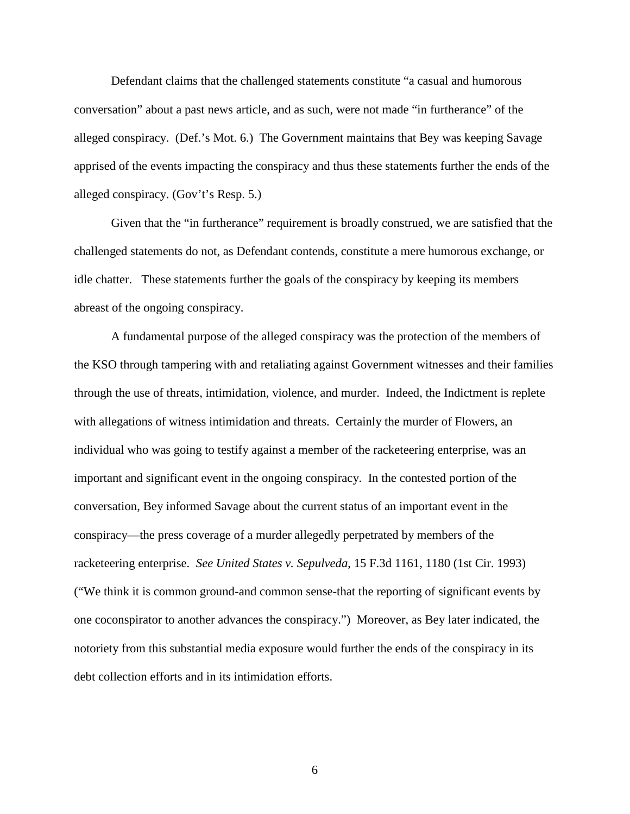Defendant claims that the challenged statements constitute "a casual and humorous conversation" about a past news article, and as such, were not made "in furtherance" of the alleged conspiracy. (Def.'s Mot. 6.) The Government maintains that Bey was keeping Savage apprised of the events impacting the conspiracy and thus these statements further the ends of the alleged conspiracy. (Gov't's Resp. 5.)

Given that the "in furtherance" requirement is broadly construed, we are satisfied that the challenged statements do not, as Defendant contends, constitute a mere humorous exchange, or idle chatter. These statements further the goals of the conspiracy by keeping its members abreast of the ongoing conspiracy.

A fundamental purpose of the alleged conspiracy was the protection of the members of the KSO through tampering with and retaliating against Government witnesses and their families through the use of threats, intimidation, violence, and murder. Indeed, the Indictment is replete with allegations of witness intimidation and threats. Certainly the murder of Flowers, an individual who was going to testify against a member of the racketeering enterprise, was an important and significant event in the ongoing conspiracy. In the contested portion of the conversation, Bey informed Savage about the current status of an important event in the conspiracy—the press coverage of a murder allegedly perpetrated by members of the racketeering enterprise. *See United States v. Sepulveda*, 15 F.3d 1161, 1180 (1st Cir. 1993) ("We think it is common ground-and common sense-that the reporting of significant events by one coconspirator to another advances the conspiracy.") Moreover, as Bey later indicated, the notoriety from this substantial media exposure would further the ends of the conspiracy in its debt collection efforts and in its intimidation efforts.

6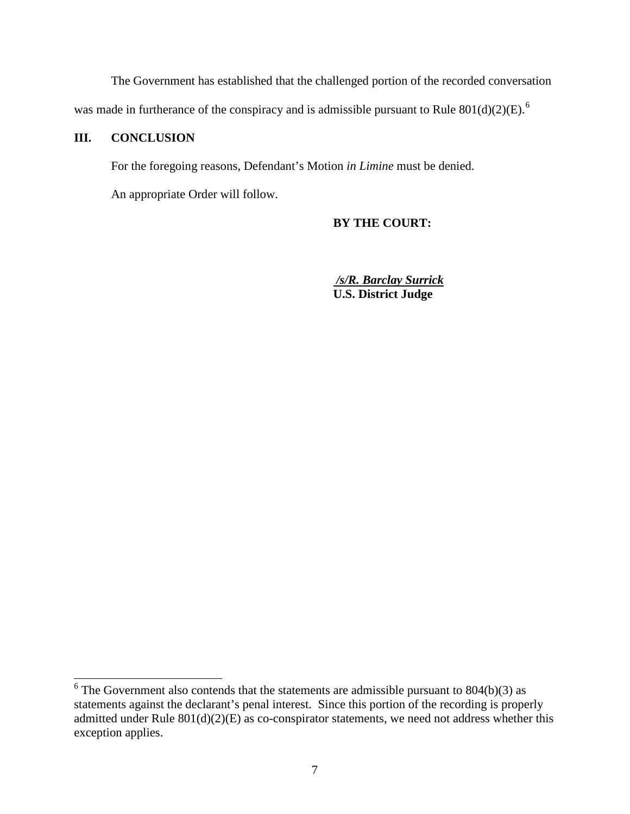The Government has established that the challenged portion of the recorded conversation was made in furtherance of the conspiracy and is admissible pursuant to Rule  $801(d)(2)(E)$ .<sup>[6](#page-4-1)</sup>

# **III. CONCLUSION**

For the foregoing reasons, Defendant's Motion *in Limine* must be denied.

An appropriate Order will follow.

#### **BY THE COURT:**

*/s/R. Barclay Surrick* **U.S. District Judge**

<span id="page-6-0"></span> $6$  The Government also contends that the statements are admissible pursuant to 804(b)(3) as statements against the declarant's penal interest. Since this portion of the recording is properly admitted under Rule 801(d)(2)(E) as co-conspirator statements, we need not address whether this exception applies.